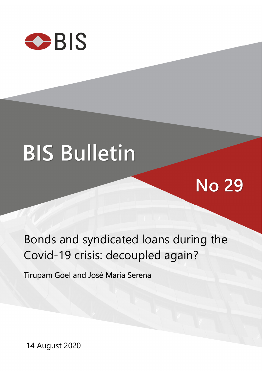

# **BIS Bulletin**

## **No 29**

## Bonds and syndicated loans during the Covid-19 crisis: decoupled again?

Tirupam Goel and José María Serena

14 August 2020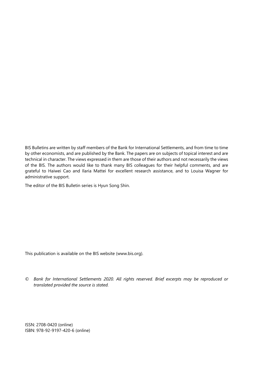BIS Bulletins are written by staff members of the Bank for International Settlements, and from time to time by other economists, and are published by the Bank. The papers are on subjects of topical interest and are technical in character. The views expressed in them are those of their authors and not necessarily the views of the BIS. The authors would like to thank many BIS colleagues for their helpful comments, and are grateful to Haiwei Cao and Ilaria Mattei for excellent research assistance, and to Louisa Wagner for administrative support.

The editor of the BIS Bulletin series is Hyun Song Shin.

This publication is available on the BIS website [\(www.bis.org\)](http://www.bis.org/).

*© Bank for International Settlements 2020. All rights reserved. Brief excerpts may be reproduced or translated provided the source is stated.* 

ISSN: 2708-0420 (online) ISBN: 978-92-9197-420-6 (online)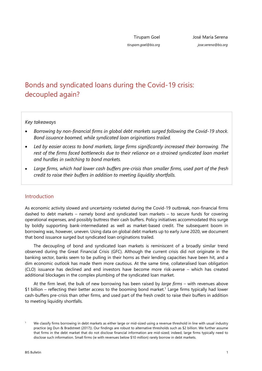*tirupam.goel@bis.org*

## Bonds and syndicated loans during the Covid-19 crisis: decoupled again?

## *Key takeaways*

- *Borrowing by non-financial firms in global debt markets surged following the Covid-19 shock. Bond issuance boomed, while syndicated loan originations trailed.*
- *Led by easier access to bond markets, large firms significantly increased their borrowing. The rest of the firms faced bottlenecks due to their reliance on a strained syndicated loan market and hurdles in switching to bond markets.*
- *Large firms, which had lower cash buffers pre-crisis than smaller firms, used part of the fresh credit to raise their buffers in addition to meeting liquidity shortfalls.*

## Introduction

As economic activity slowed and uncertainty rocketed during the Covid-19 outbreak, non-financial firms dashed to debt markets – namely bond and syndicated loan markets – to secure funds for covering operational expenses, and possibly buttress their cash buffers. Policy initiatives accommodated this surge by boldly supporting bank-intermediated as well as market-based credit. The subsequent boom in borrowing was, however, uneven. Using data on global debt markets up to early June 2020, we document that bond issuance surged but syndicated loan originations trailed.

The decoupling of bond and syndicated loan markets is reminiscent of a broadly similar trend observed during the Great Financial Crisis (GFC). Although the current crisis did not originate in the banking sector, banks seem to be pulling in their horns as their lending capacities have been hit, and a dim economic outlook has made them more cautious. At the same time, collateralised loan obligation (CLO) issuance has declined and end investors have become more risk-averse – which has created additional blockages in the complex plumbing of the syndicated loan market.

At the firm level, the bulk of new borrowing has been raised by *large firms* – with revenues above \$1 billion – reflecting their better access to the booming bond market.<sup>1</sup> Large firms typically had lower cash-buffers pre-crisis than other firms, and used part of the fresh credit to raise their buffers in addition to meeting liquidity shortfalls.

<span id="page-2-0"></span><sup>1</sup> We classify firms borrowing in debt markets as either large or mid-sized using a revenue threshold in line with usual industry practice (eg Dun & Bradstreet (2017)). Our findings are robust to alternative thresholds such as \$2 billion. We further assume that firms in the debt market that do not disclose financial information are mid-sized; indeed, large firms typically need to disclose such information. Small firms (ie with revenues below \$10 million) rarely borrow in debt markets.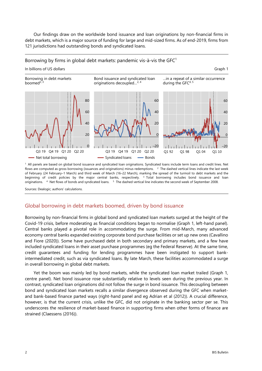Our findings draw on the worldwide bond issuance and loan originations by non-financial firms in debt markets, which is a major source of funding for large and mid-sized firms. As of end-2019, firms from 121 jurisdictions had outstanding bonds and syndicated loans.

### Borrowing by firms in global debt markets: pandemic vis-à-vis the  $GFC<sup>1</sup>$

#### In billions of US dollars Graph 1 Borrowing in debt markets Bond issuance and syndicated loan …in a repeat of a similar occurrence boomed $2,3$ originations decoupled...<sup>2, 4</sup> during the GFC4, 5 80 60 60 60 40 40  $40$ 20  $2<sup>c</sup>$  $20$  $\Omega$  $\mathbf 0$ <u> 1 | | | | | | | | | -20</u>  $\mathbf 0$ انتلبنانيا –20 Q3 19 Q4 19 Q1 20 Q2 20 Q3 19 Q4 19 Q1 20 Q2 20 Q1 92 Q1 98 Q1 04 Q1 10- Syndicated loans Net total borrowing  $-$  Bonds

 $<sup>1</sup>$  All panels are based on global bond issuance and syndicated loan originations. Syndicated loans include term loans and credit lines. Net</sup> flows are computed as gross borrowing (issuances and originations) minus redemptions.  $2$  The dashed vertical lines indicate the last week of February (24 February–1 March) and third week of March (16–22 March), marking the spread of the turmoil to debt markets and the beginning of credit policies by the major central banks, respectively.  $3$  Total borrowing includes bond issuance and loan originations. 4 Net flows of bonds and syndicated loans. 5 The dashed vertical line indicates the second week of September 2008.

Sources: Dealogic; authors' calculations.

## Global borrowing in debt markets boomed, driven by bond issuance

Borrowing by non-financial firms in global bond and syndicated loan markets surged at the height of the Covid-19 crisis, before moderating as financial conditions began to normalise (Graph 1, left-hand panel). Central banks played a pivotal role in accommodating the surge. From mid-March, many advanced economy central banks expanded existing corporate bond purchase facilities or set up new ones (Cavallino and Fiore (2020)). Some have purchased debt in both secondary and primary markets, and a few have included syndicated loans in their asset purchase programmes (eg the Federal Reserve). At the same time, credit guarantees and funding for lending programmes have been instigated to support bankintermediated credit, such as via syndicated loans. By late March, these facilities accommodated a surge in overall borrowing in global debt markets.

Yet the boom was mainly led by bond markets, while the syndicated loan market trailed (Graph 1, centre panel). Net bond issuance rose substantially relative to levels seen during the previous year. In contrast, syndicated loan originations did not follow the surge in bond issuance. This decoupling between bond and syndicated loan markets recalls a similar divergence observed during the GFC when marketand bank-based finance parted ways (right-hand panel and eg Adrian et al (2012)). A crucial difference, however, is that the current crisis, unlike the GFC, did not originate in the banking sector per se. This underscores the resilience of market-based finance in supporting firms when other forms of finance are strained (Claessens (2016)).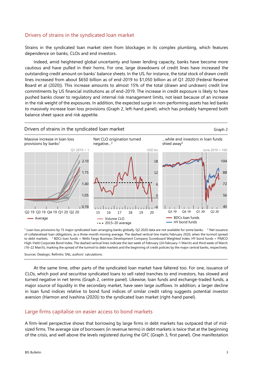## Drivers of strains in the syndicated loan market

Strains in the syndicated loan market stem from blockages in its complex plumbing, which features dependence on banks, CLOs and end investors.

Indeed, amid heightened global uncertainty and lower lending capacity, banks have become more cautious and have pulled in their horns. For one, large drawdowns of credit lines have increased the outstanding credit amount on banks' balance sheets. In the US, for instance, the total stock of drawn credit lines increased from about \$650 billion as of end-2019 to \$1,050 billion as of Q1 2020 (Federal Reserve Board et al (2020)). This increase amounts to almost 15% of the total (drawn and undrawn) credit line commitments by US financial institutions as of end-2019. The increase in credit exposure is likely to have pushed banks closer to regulatory and internal risk management limits, not least because of an increase in the risk weight of the exposures. In addition, the expected surge in non-performing assets has led banks to massively increase loan loss provisions (Graph 2, left-hand panel), which has probably hampered both balance sheet space and risk appetite.



 $1$  Loan loss provisions by 15 major syndicated loan-arranging banks globally. Q2 2020 data are not available for some banks.  $2$  Net issuance of collateralised loan obligations, as a three-month moving average. The dashed vertical line marks February 2020, when the turmoil spread to debt markets. <sup>3</sup> BDCs loan funds = Wells Fargo Business Development Company Scoreboard Weighted Index. HY bond funds = PIMCO High-Yield Corporate Bond Index. The dashed vertical lines indicate the last week of February (24 February–1 March) and third week of March (16–22 March), marking the spread of the turmoil to debt markets and the beginning of credit policies by the major central banks, respectively.

Sources: Dealogic; Refinitiv; SNL; authors' calculations.

At the same time, other parts of the syndicated loan market have faltered too. For one, issuance of CLOs, which pool and securitise syndicated loans to sell rated tranches to end investors, has slowed and turned negative in net terms (Graph 2, centre panel). Likewise, loan funds and exchange-traded funds, a major source of liquidity in the secondary market, have seen large outflows. In addition, a larger decline in loan fund indices relative to bond fund indices of similar credit rating suggests potential investor aversion (Harmon and Ivashina (2020)) to the syndicated loan market (right-hand panel).

## Large firms capitalise on easier access to bond markets

A firm-level perspective shows that borrowing by large firms in debt markets has outpaced that of midsized firms. The average size of borrowers (in revenue terms) in debt markets is twice that at the beginning of the crisis, and well above the levels registered during the GFC (Graph 3, first panel). One manifestation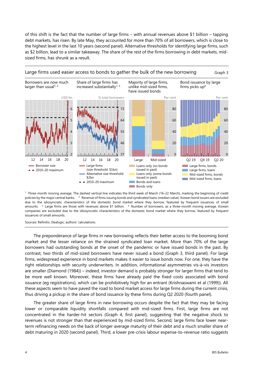of this shift is the fact that the number of large firms – with annual revenues above \$1 billion – tapping debt markets, has risen. By late May, they accounted for more than 70% of all borrowers, which is close to the highest level in the last 10 years (second panel). Alternative thresholds for identifying large firms, such as \$2 billion, lead to a similar takeaway. The share of the rest of the firms borrowing in debt markets, midsized firms, has shrunk as a result.



Large firms used easier access to bonds to gather the bulk of the new borrowing Graph 3

1 Three-month moving average. The dashed vertical line indicates the third week of March (16–22 March), marking the beginning of credit policies by the major central banks. <sup>2</sup> Revenue of firms issuing bonds and syndicated loans (median value). Korean bond issuers are excluded due to the idiosyncratic characteristics of the domestic bond market where they borrow, featured by frequent issuances of small amounts. <sup>3</sup> Large firms are those with revenues above \$1 billion.  $4$  Number of borrowers, as a three-month moving average. Korean companies are excluded due to the idiosyncratic characteristics of the domestic bond market where they borrow, featured by frequent issuances of small amounts.

Sources: Refinitiv; Dealogic; authors' calculations.

The preponderance of large firms in new borrowing reflects their better access to the booming bond market and the lesser reliance on the strained syndicated loan market. More than 70% of the large borrowers had outstanding bonds at the onset of the pandemic or have issued bonds in the past. By contrast, two thirds of mid-sized borrowers have never issued a bond (Graph 3, third panel). For large firms, widespread experience in bond markets makes it easier to issue bonds now. For one, they have the right relationships with security underwriters. In addition, informational asymmetries vis-à-vis investors are smaller (Diamond (1984)) – indeed, investor demand is probably stronger for larger firms that tend to be more well known. Moreover, these firms have already paid the fixed costs associated with bond issuance (eg registrations), which can be prohibitively high for an entrant (Krishnaswami et al (1999)). All these aspects seem to have paved the road to bond market access for large firms during the current crisis, thus driving a pickup in the share of bond issuance by these firms during Q2 2020 (fourth panel).

The greater share of large firms in new borrowing occurs despite the fact that they may be facing lower or comparable liquidity shortfalls compared with mid-sized firms. First, large firms are not concentrated in the harder-hit sectors (Graph 4, first panel), suggesting that the negative shock to revenues is not stronger than that experienced by mid-sized firms. Second, large firms face lower nearterm refinancing needs on the back of longer average maturity of their debt and a much smaller share of debt maturing in 2020 (second panel). Third, a lower pre-crisis labour expense-to-revenue ratio suggests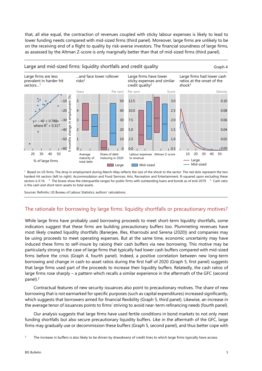that, all else equal, the contraction of revenues coupled with sticky labour expenses is likely to lead to lower funding needs compared with mid-sized firms (third panel). Moreover, large firms are unlikely to be on the receiving end of a flight to quality by risk-averse investors. The financial soundness of large firms, as assessed by the Altman Z-score is only marginally better than that of mid-sized firms (third panel).



 $<sup>1</sup>$  Based on US firms. The drop in employment during March–May reflects the size of the shock to the sector. The red dots represent the two</sup> hardest-hit sectors (left to right): Accommodation and Food Services; Arts, Recreation and Entertainment. R-squared upon excluding these sectors is 0.16. <sup>2</sup> The boxes show the interquartile ranges for public firms with outstanding loans and bonds as of end-2019. <sup>3</sup> Cash ratio is the cash and short-term assets to total assets.

Sources: Refinitiv; US Bureau of Labour Statistics; authors' calculations.

## The rationale for borrowing by large firms: liquidity shortfalls or precautionary motives?

While large firms have probably used borrowing proceeds to meet short-term liquidity shortfalls, some indicators suggest that these firms are building precautionary buffers too. Plummeting revenues have most likely created liquidity shortfalls (Banerjee, Illes, Kharroubi and Serena (2020)) and companies may be using proceeds to meet operating expenses. But at the same time, economic uncertainty may have induced these firms to self-insure by raising their cash buffers via new borrowing. This motive may be particularly strong in the case of large firms that typically had lower cash buffers compared with mid-sized firms before the crisis (Graph 4, fourth panel). Indeed, a positive correlation between new long-term borrowing and change in cash-to-asset ratios during the first half of 2020 (Graph 5, first panel) suggests that large firms used part of the proceeds to increase their liquidity buffers. Relatedly, the cash ratios of large firms rose sharply – a pattern which recalls a similar experience in the aftermath of the GFC (second panel).<sup>2</sup>

Contractual features of new security issuances also point to precautionary motives. The share of new borrowing that is not earmarked for specific purposes (such as capital expenditures) increased significantly, which suggests that borrowers aimed for financial flexibility (Graph 5, third panel). Likewise, an increase in the average tenor of issuances points to firms' striving to avoid near-term refinancing needs (fourth panel).

Our analysis suggests that large firms have used fertile conditions in bond markets to not only meet funding shortfalls but also secure precautionary liquidity buffers. Like in the aftermath of the GFC, large firms may gradually use or decommission these buffers (Graph 5, second panel), and thus better cope with

<span id="page-6-0"></span> $\overline{2}$ The increase in buffers is also likely to be driven by drawdowns of credit lines to which large firms typically have access.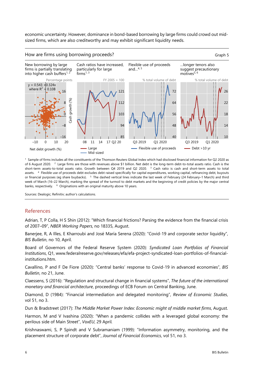economic uncertainty. However, dominance in bond-based borrowing by large firms could crowd out midsized firms, which are also creditworthy and may exhibit significant liquidity needs.



1 Sample of firms includes all the constituents of the Thomson Reuters Global Index which had disclosed financial information for Q2 2020 as of 6 August 2020. 2 Large firms are those with revenues above \$1 billion. Net debt is the long-term debt-to-total assets ratio. Cash is the short-term assets-to-total assets ratio. Growth between Q4 2019 and Q2 2020. 3 Cash ratio is cash and short-term assets to total assets. <sup>4</sup> Flexible use of proceeds debt excludes debt raised specifically for capital expenditures, working capital, refinancing debt, buyouts or financial purposes (eg share buybacks). 5 The dashed vertical lines indicate the last week of February (24 February–1 March) and third week of March (16–22 March), marking the spread of the turmoil to debt markets and the beginning of credit policies by the major central banks, respectively. <sup>6</sup> Originations with an original maturity above 10 years.

Sources: Dealogic; Refinitiv; author's calculations.

## References

Adrian, T, P Colla, H S Shin (2012): "Which financial frictions? Parsing the evidence from the financial crisis of 2007–09", *NBER Working Papers*, no 18335, August.

Banerjee, R, A Illes, E Kharroubi and José María Serena (2020): "Covid-19 and corporate sector liquidity", *BIS Bulletin*, no 10, April.

Board of Governors of the Federal Reserve System (2020): *Syndicated Loan Portfolios of Financial Institutions*, Q1, [www.federalreserve.gov/releases/efa/efa-project-syndicated-loan-portfolios-of-financial](http://www.federalreserve.gov/releases/efa/efa-project-syndicated-loan-portfolios-of-financial-institutions.htm)[institutions.htm.](http://www.federalreserve.gov/releases/efa/efa-project-syndicated-loan-portfolios-of-financial-institutions.htm) 

Cavallino, P and F De Fiore (2020): "Central banks' response to Covid-19 in advanced economies", *BIS Bulletin*, no 21, June.

Claessens, S (2016): "Regulation and structural change in financial systems", *The future of the international monetary and financial architecture*, proceedings of ECB Forum on Central Banking, June.

Diamond, D (1984): "Financial intermediation and delegated monitoring", *Review of Economic Studies*, vol 51, no 3.

Dun & Bradstreet (2017): *The Middle Market Power Index: Economic might of middle market firms*, August.

Harmon, M and V Ivashina (2020): "When a pandemic collides with a leveraged global economy: the perilous side of Main Street", *VoxEU*, 29 April*.* 

Krishnaswami, S, P Spindt and V Subramaniam (1999): "Information asymmetry, monitoring, and the placement structure of corporate debt", *Journal of Financial Economics*, vol 51, no 3.